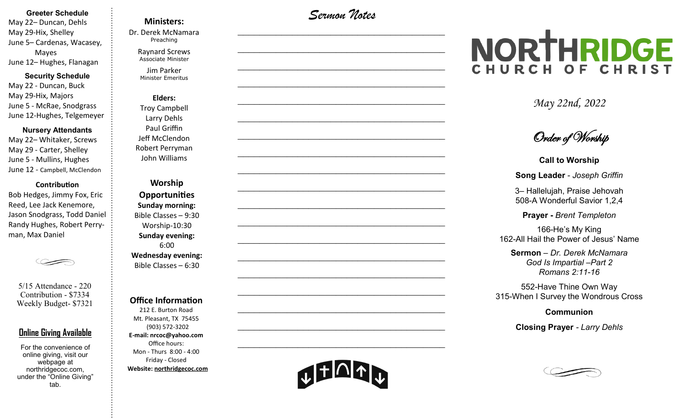#### **Greeter Schedule**

May 22– Duncan, Dehls May 29-Hix, Shelley June 5– Cardenas, Wacasey, Mayes June 12– Hughes, Flanagan

#### **Security Schedule**

May 22 - Duncan, Buck May 29-Hix, Majors June 5 - McRae, Snodgrass June 12-Hughes, Telgemeyer

#### **Nursery Attendants**

May 22– Whitaker, Screws May 29 - Carter, Shelley June 5 - Mullins, Hughes June 12 - Campbell, McClendon

#### **Contribution**

Bob Hedges, Jimmy Fox, Eric Reed, Lee Jack Kenemore, Jason Snodgrass, Todd Daniel Randy Hughes, Robert Perryman, Max Daniel

5/15 Attendance - 220 Contribution - \$7334 Weekly Budget- \$7321

### **Online Giving Available**

For the convenience of online giving, visit our webpage at northridgecoc.com, under the "Online Giving" tab.

## **Ministers:**

Dr. Derek McNamara Preaching 

Raynard Screws Associate Minister

Jim Parker Minister Emeritus

**Elders:** Troy Campbell Larry Dehls Paul Griffin Jeff McClendon Robert Perryman John Williams

**Worship Opportunities Sunday morning:**  Bible Classes – 9:30 Worship-10:30 **Sunday evening:**  6:00 **Wednesday evening:** Bible Classes – 6:30

#### **Office Information**

212 E. Burton Road Mt. Pleasant, TX 75455 (903) 572-3202 **E-mail: nrcoc@yahoo.com** Office hours: Mon - Thurs 8:00 - 4:00 Friday - Closed **Website: northridgecoc.com**

*Sermon Notes*

 $\mathcal{L}_\text{max}$ 

 $\mathcal{L}_\text{max}$  , and the set of the set of the set of the set of the set of the set of the set of the set of the set of the set of the set of the set of the set of the set of the set of the set of the set of the set of the

 $\mathcal{L}_\text{max}$  , and the set of the set of the set of the set of the set of the set of the set of the set of the set of the set of the set of the set of the set of the set of the set of the set of the set of the set of the

 $\mathcal{L}_\text{max}$  , and the set of the set of the set of the set of the set of the set of the set of the set of the set of the set of the set of the set of the set of the set of the set of the set of the set of the set of the

 $\mathcal{L}_\text{max}$ 

 $\mathcal{L}_\text{max}$ 

 $\mathcal{L}_\text{max}$  , and the set of the set of the set of the set of the set of the set of the set of the set of the set of the set of the set of the set of the set of the set of the set of the set of the set of the set of the

 $\mathcal{L}_\text{max}$  , and the set of the set of the set of the set of the set of the set of the set of the set of the set of the set of the set of the set of the set of the set of the set of the set of the set of the set of the

 $\mathcal{L}_\text{max}$  , and the set of the set of the set of the set of the set of the set of the set of the set of the set of the set of the set of the set of the set of the set of the set of the set of the set of the set of the

 $\mathcal{L}_\text{max}$ 

 $\mathcal{L}_\text{max}$  , and the set of the set of the set of the set of the set of the set of the set of the set of the set of the set of the set of the set of the set of the set of the set of the set of the set of the set of the

 $\mathcal{L}_\text{max}$  , and the set of the set of the set of the set of the set of the set of the set of the set of the set of the set of the set of the set of the set of the set of the set of the set of the set of the set of the

 $\mathcal{L}_\text{max}$  , and the set of the set of the set of the set of the set of the set of the set of the set of the set of the set of the set of the set of the set of the set of the set of the set of the set of the set of the

 $\mathcal{L}_\text{max}$  , and the set of the set of the set of the set of the set of the set of the set of the set of the set of the set of the set of the set of the set of the set of the set of the set of the set of the set of the

 $\mathcal{L}_\text{max}$ 

 $\mathcal{L}_\text{max}$  , and the set of the set of the set of the set of the set of the set of the set of the set of the set of the set of the set of the set of the set of the set of the set of the set of the set of the set of the

 $\mathcal{L}_\text{max}$  , and the set of the set of the set of the set of the set of the set of the set of the set of the set of the set of the set of the set of the set of the set of the set of the set of the set of the set of the

 $\mathcal{L}_\text{max}$  , and the set of the set of the set of the set of the set of the set of the set of the set of the set of the set of the set of the set of the set of the set of the set of the set of the set of the set of the

 $\mathcal{L}_\text{max}$  , and the set of the set of the set of the set of the set of the set of the set of the set of the set of the set of the set of the set of the set of the set of the set of the set of the set of the set of the

# NORTHRIDGE CHURCH OF CHRIST

*May 22nd, 2022*

Order of Worship

**Call to Worship**

**Song Leader** *- Joseph Griffin*

3– Hallelujah, Praise Jehovah 508-A Wonderful Savior 1,2,4

**Prayer -** *Brent Templeton*

166-He's My King 162-All Hail the Power of Jesus' Name

**Sermon** – *Dr. Derek McNamara God Is Impartial –Part 2 Romans 2:11-16*

552-Have Thine Own Way 315-When I Survey the Wondrous Cross

**Communion** 

**Closing Prayer** *- Larry Dehls*